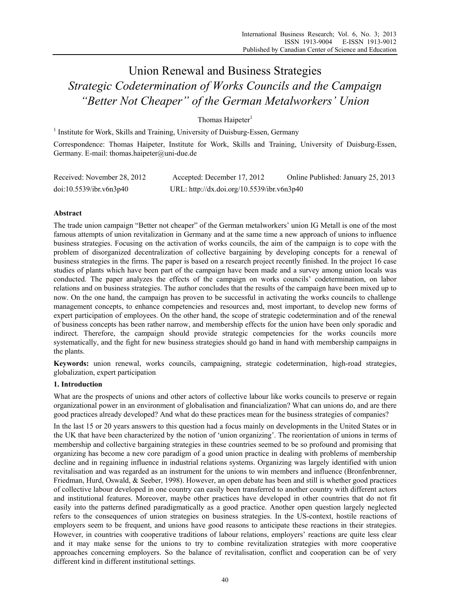# Union Renewal and Business Strategies *Strategic Codetermination of Works Councils and the Campaign "Better Not Cheaper" of the German Metalworkers' Union*

Thomas Haipeter $1$ 

<sup>1</sup> Institute for Work, Skills and Training, University of Duisburg-Essen, Germany

Correspondence: Thomas Haipeter, Institute for Work, Skills and Training, University of Duisburg-Essen, Germany. E-mail: thomas.haipeter@uni-due.de

| Received: November 28, 2012 | Accepted: December 17, 2012                | Online Published: January 25, 2013 |
|-----------------------------|--------------------------------------------|------------------------------------|
| doi:10.5539/ibr.v6n3p40     | URL: http://dx.doi.org/10.5539/ibr.v6n3p40 |                                    |

# **Abstract**

The trade union campaign "Better not cheaper" of the German metalworkers' union IG Metall is one of the most famous attempts of union revitalization in Germany and at the same time a new approach of unions to influence business strategies. Focusing on the activation of works councils, the aim of the campaign is to cope with the problem of disorganized decentralization of collective bargaining by developing concepts for a renewal of business strategies in the firms. The paper is based on a research project recently finished. In the project 16 case studies of plants which have been part of the campaign have been made and a survey among union locals was conducted. The paper analyzes the effects of the campaign on works councils' codetermination, on labor relations and on business strategies. The author concludes that the results of the campaign have been mixed up to now. On the one hand, the campaign has proven to be successful in activating the works councils to challenge management concepts, to enhance competencies and resources and, most important, to develop new forms of expert participation of employees. On the other hand, the scope of strategic codetermination and of the renewal of business concepts has been rather narrow, and membership effects for the union have been only sporadic and indirect. Therefore, the campaign should provide strategic competencies for the works councils more systematically, and the fight for new business strategies should go hand in hand with membership campaigns in the plants.

**Keywords:** union renewal, works councils, campaigning, strategic codetermination, high-road strategies, globalization, expert participation

# **1. Introduction**

What are the prospects of unions and other actors of collective labour like works councils to preserve or regain organizational power in an environment of globalisation and financialization? What can unions do, and are there good practices already developed? And what do these practices mean for the business strategies of companies?

In the last 15 or 20 years answers to this question had a focus mainly on developments in the United States or in the UK that have been characterized by the notion of 'union organizing'. The reorientation of unions in terms of membership and collective bargaining strategies in these countries seemed to be so profound and promising that organizing has become a new core paradigm of a good union practice in dealing with problems of membership decline and in regaining influence in industrial relations systems. Organizing was largely identified with union revitalisation and was regarded as an instrument for the unions to win members and influence (Bronfenbrenner, Friedman, Hurd, Oswald, & Seeber, 1998). However, an open debate has been and still is whether good practices of collective labour developed in one country can easily been transferred to another country with different actors and institutional features. Moreover, maybe other practices have developed in other countries that do not fit easily into the patterns defined paradigmatically as a good practice. Another open question largely neglected refers to the consequences of union strategies on business strategies. In the US-context, hostile reactions of employers seem to be frequent, and unions have good reasons to anticipate these reactions in their strategies. However, in countries with cooperative traditions of labour relations, employers' reactions are quite less clear and it may make sense for the unions to try to combine revitalization strategies with more cooperative approaches concerning employers. So the balance of revitalisation, conflict and cooperation can be of very different kind in different institutional settings.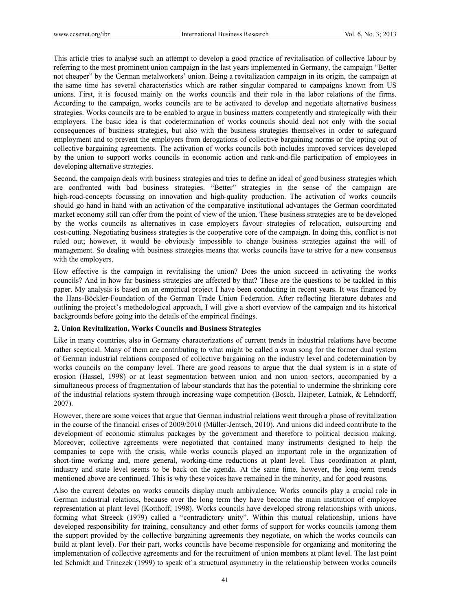This article tries to analyse such an attempt to develop a good practice of revitalisation of collective labour by referring to the most prominent union campaign in the last years implemented in Germany, the campaign "Better not cheaper" by the German metalworkers' union. Being a revitalization campaign in its origin, the campaign at the same time has several characteristics which are rather singular compared to campaigns known from US unions. First, it is focused mainly on the works councils and their role in the labor relations of the firms. According to the campaign, works councils are to be activated to develop and negotiate alternative business strategies. Works councils are to be enabled to argue in business matters competently and strategically with their employers. The basic idea is that codetermination of works councils should deal not only with the social consequences of business strategies, but also with the business strategies themselves in order to safeguard employment and to prevent the employers from derogations of collective bargaining norms or the opting out of collective bargaining agreements. The activation of works councils both includes improved services developed by the union to support works councils in economic action and rank-and-file participation of employees in developing alternative strategies.

Second, the campaign deals with business strategies and tries to define an ideal of good business strategies which are confronted with bad business strategies. "Better" strategies in the sense of the campaign are high-road-concepts focussing on innovation and high-quality production. The activation of works councils should go hand in hand with an activation of the comparative institutional advantages the German coordinated market economy still can offer from the point of view of the union. These business strategies are to be developed by the works councils as alternatives in case employers favour strategies of relocation, outsourcing and cost-cutting. Negotiating business strategies is the cooperative core of the campaign. In doing this, conflict is not ruled out; however, it would be obviously impossible to change business strategies against the will of management. So dealing with business strategies means that works councils have to strive for a new consensus with the employers.

How effective is the campaign in revitalising the union? Does the union succeed in activating the works councils? And in how far business strategies are affected by that? These are the questions to be tackled in this paper. My analysis is based on an empirical project I have been conducting in recent years. It was financed by the Hans-Böckler-Foundation of the German Trade Union Federation. After reflecting literature debates and outlining the project's methodological approach, I will give a short overview of the campaign and its historical backgrounds before going into the details of the empirical findings.

## **2. Union Revitalization, Works Councils and Business Strategies**

Like in many countries, also in Germany characterizations of current trends in industrial relations have become rather sceptical. Many of them are contributing to what might be called a swan song for the former dual system of German industrial relations composed of collective bargaining on the industry level and codetermination by works councils on the company level. There are good reasons to argue that the dual system is in a state of erosion (Hassel, 1998) or at least segmentation between union and non union sectors, accompanied by a simultaneous process of fragmentation of labour standards that has the potential to undermine the shrinking core of the industrial relations system through increasing wage competition (Bosch, Haipeter, Latniak, & Lehndorff, 2007).

However, there are some voices that argue that German industrial relations went through a phase of revitalization in the course of the financial crises of 2009/2010 (Müller-Jentsch, 2010). And unions did indeed contribute to the development of economic stimulus packages by the government and therefore to political decision making. Moreover, collective agreements were negotiated that contained many instruments designed to help the companies to cope with the crisis, while works councils played an important role in the organization of short-time working and, more general, working-time reductions at plant level. Thus coordination at plant, industry and state level seems to be back on the agenda. At the same time, however, the long-term trends mentioned above are continued. This is why these voices have remained in the minority, and for good reasons.

Also the current debates on works councils display much ambivalence. Works councils play a crucial role in German industrial relations, because over the long term they have become the main institution of employee representation at plant level (Kotthoff, 1998). Works councils have developed strong relationships with unions, forming what Streeck (1979) called a "contradictory unity". Within this mutual relationship, unions have developed responsibility for training, consultancy and other forms of support for works councils (among them the support provided by the collective bargaining agreements they negotiate, on which the works councils can build at plant level). For their part, works councils have become responsible for organizing and monitoring the implementation of collective agreements and for the recruitment of union members at plant level. The last point led Schmidt and Trinczek (1999) to speak of a structural asymmetry in the relationship between works councils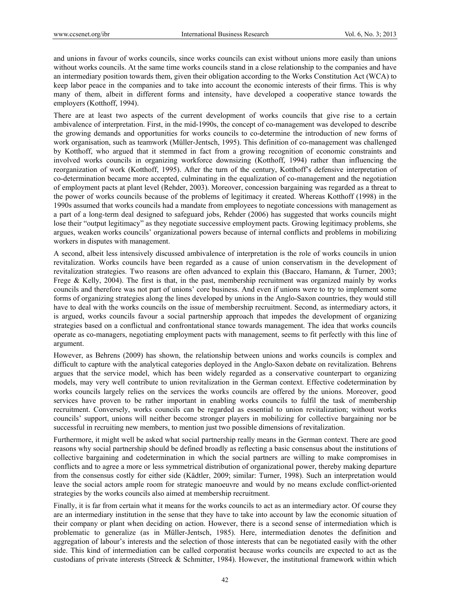and unions in favour of works councils, since works councils can exist without unions more easily than unions without works councils. At the same time works councils stand in a close relationship to the companies and have an intermediary position towards them, given their obligation according to the Works Constitution Act (WCA) to keep labor peace in the companies and to take into account the economic interests of their firms. This is why many of them, albeit in different forms and intensity, have developed a cooperative stance towards the employers (Kotthoff, 1994).

There are at least two aspects of the current development of works councils that give rise to a certain ambivalence of interpretation. First, in the mid-1990s, the concept of co-management was developed to describe the growing demands and opportunities for works councils to co-determine the introduction of new forms of work organisation, such as teamwork (Müller-Jentsch, 1995). This definition of co-management was challenged by Kotthoff, who argued that it stemmed in fact from a growing recognition of economic constraints and involved works councils in organizing workforce downsizing (Kotthoff, 1994) rather than influencing the reorganization of work (Kotthoff, 1995). After the turn of the century, Kotthoff's defensive interpretation of co-determination became more accepted, culminating in the equalization of co-management and the negotiation of employment pacts at plant level (Rehder, 2003). Moreover, concession bargaining was regarded as a threat to the power of works councils because of the problems of legitimacy it created. Whereas Kotthoff (1998) in the 1990s assumed that works councils had a mandate from employees to negotiate concessions with management as a part of a long-term deal designed to safeguard jobs, Rehder (2006) has suggested that works councils might lose their "output legitimacy" as they negotiate successive employment pacts. Growing legitimacy problems, she argues, weaken works councils' organizational powers because of internal conflicts and problems in mobilizing workers in disputes with management.

A second, albeit less intensively discussed ambivalence of interpretation is the role of works councils in union revitalization. Works councils have been regarded as a cause of union conservatism in the development of revitalization strategies. Two reasons are often advanced to explain this (Baccaro, Hamann, & Turner, 2003; Frege & Kelly, 2004). The first is that, in the past, membership recruitment was organized mainly by works councils and therefore was not part of unions' core business. And even if unions were to try to implement some forms of organizing strategies along the lines developed by unions in the Anglo-Saxon countries, they would still have to deal with the works councils on the issue of membership recruitment. Second, as intermediary actors, it is argued, works councils favour a social partnership approach that impedes the development of organizing strategies based on a conflictual and confrontational stance towards management. The idea that works councils operate as co-managers, negotiating employment pacts with management, seems to fit perfectly with this line of argument.

However, as Behrens (2009) has shown, the relationship between unions and works councils is complex and difficult to capture with the analytical categories deployed in the Anglo-Saxon debate on revitalization. Behrens argues that the service model, which has been widely regarded as a conservative counterpart to organizing models, may very well contribute to union revitalization in the German context. Effective codetermination by works councils largely relies on the services the works councils are offered by the unions. Moreover, good services have proven to be rather important in enabling works councils to fulfil the task of membership recruitment. Conversely, works councils can be regarded as essential to union revitalization; without works councils' support, unions will neither become stronger players in mobilizing for collective bargaining nor be successful in recruiting new members, to mention just two possible dimensions of revitalization.

Furthermore, it might well be asked what social partnership really means in the German context. There are good reasons why social partnership should be defined broadly as reflecting a basic consensus about the institutions of collective bargaining and codetermination in which the social partners are willing to make compromises in conflicts and to agree a more or less symmetrical distribution of organizational power, thereby making departure from the consensus costly for either side (Kädtler, 2009; similar: Turner, 1998). Such an interpretation would leave the social actors ample room for strategic manoeuvre and would by no means exclude conflict-oriented strategies by the works councils also aimed at membership recruitment.

Finally, it is far from certain what it means for the works councils to act as an intermediary actor. Of course they are an intermediary institution in the sense that they have to take into account by law the economic situation of their company or plant when deciding on action. However, there is a second sense of intermediation which is problematic to generalize (as in Müller-Jentsch, 1985). Here, intermediation denotes the definition and aggregation of labour's interests and the selection of those interests that can be negotiated easily with the other side. This kind of intermediation can be called corporatist because works councils are expected to act as the custodians of private interests (Streeck & Schmitter, 1984). However, the institutional framework within which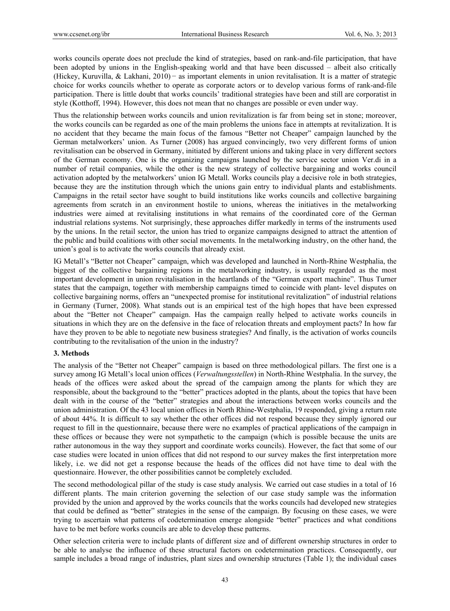works councils operate does not preclude the kind of strategies, based on rank-and-file participation, that have been adopted by unions in the English-speaking world and that have been discussed – albeit also critically (Hickey, Kuruvilla, & Lakhani, 2010) − as important elements in union revitalisation. It is a matter of strategic choice for works councils whether to operate as corporate actors or to develop various forms of rank-and-file participation. There is little doubt that works councils' traditional strategies have been and still are corporatist in style (Kotthoff, 1994). However, this does not mean that no changes are possible or even under way.

Thus the relationship between works councils and union revitalization is far from being set in stone; moreover, the works councils can be regarded as one of the main problems the unions face in attempts at revitalization. It is no accident that they became the main focus of the famous "Better not Cheaper" campaign launched by the German metalworkers' union. As Turner (2008) has argued convincingly, two very different forms of union revitalisation can be observed in Germany, initiated by different unions and taking place in very different sectors of the German economy. One is the organizing campaigns launched by the service sector union Ver.di in a number of retail companies, while the other is the new strategy of collective bargaining and works council activation adopted by the metalworkers' union IG Metall. Works councils play a decisive role in both strategies, because they are the institution through which the unions gain entry to individual plants and establishments. Campaigns in the retail sector have sought to build institutions like works councils and collective bargaining agreements from scratch in an environment hostile to unions, whereas the initiatives in the metalworking industries were aimed at revitalising institutions in what remains of the coordinated core of the German industrial relations systems. Not surprisingly, these approaches differ markedly in terms of the instruments used by the unions. In the retail sector, the union has tried to organize campaigns designed to attract the attention of the public and build coalitions with other social movements. In the metalworking industry, on the other hand, the union's goal is to activate the works councils that already exist.

IG Metall's "Better not Cheaper" campaign, which was developed and launched in North-Rhine Westphalia, the biggest of the collective bargaining regions in the metalworking industry, is usually regarded as the most important development in union revitalisation in the heartlands of the "German export machine". Thus Turner states that the campaign, together with membership campaigns timed to coincide with plant- level disputes on collective bargaining norms, offers an "unexpected promise for institutional revitalization" of industrial relations in Germany (Turner, 2008). What stands out is an empirical test of the high hopes that have been expressed about the "Better not Cheaper" campaign. Has the campaign really helped to activate works councils in situations in which they are on the defensive in the face of relocation threats and employment pacts? In how far have they proven to be able to negotiate new business strategies? And finally, is the activation of works councils contributing to the revitalisation of the union in the industry?

## **3. Methods**

The analysis of the "Better not Cheaper" campaign is based on three methodological pillars. The first one is a survey among IG Metall's local union offices (*Verwaltungsstellen*) in North-Rhine Westphalia. In the survey, the heads of the offices were asked about the spread of the campaign among the plants for which they are responsible, about the background to the "better" practices adopted in the plants, about the topics that have been dealt with in the course of the "better" strategies and about the interactions between works councils and the union administration. Of the 43 local union offices in North Rhine-Westphalia, 19 responded, giving a return rate of about 44%. It is difficult to say whether the other offices did not respond because they simply ignored our request to fill in the questionnaire, because there were no examples of practical applications of the campaign in these offices or because they were not sympathetic to the campaign (which is possible because the units are rather autonomous in the way they support and coordinate works councils). However, the fact that some of our case studies were located in union offices that did not respond to our survey makes the first interpretation more likely, i.e. we did not get a response because the heads of the offices did not have time to deal with the questionnaire. However, the other possibilities cannot be completely excluded.

The second methodological pillar of the study is case study analysis. We carried out case studies in a total of 16 different plants. The main criterion governing the selection of our case study sample was the information provided by the union and approved by the works councils that the works councils had developed new strategies that could be defined as "better" strategies in the sense of the campaign. By focusing on these cases, we were trying to ascertain what patterns of codetermination emerge alongside "better" practices and what conditions have to be met before works councils are able to develop these patterns.

Other selection criteria were to include plants of different size and of different ownership structures in order to be able to analyse the influence of these structural factors on codetermination practices. Consequently, our sample includes a broad range of industries, plant sizes and ownership structures (Table 1); the individual cases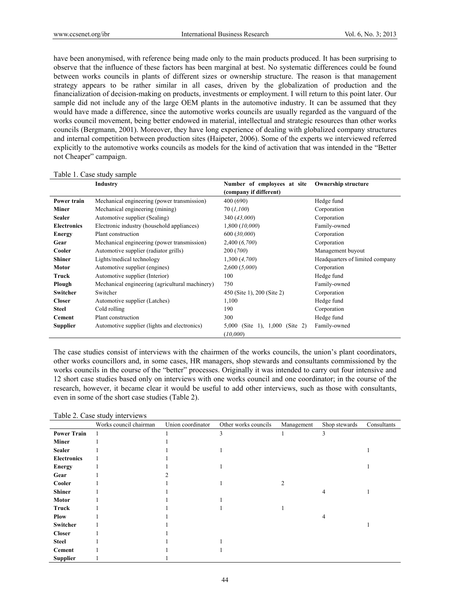have been anonymised, with reference being made only to the main products produced. It has been surprising to observe that the influence of these factors has been marginal at best. No systematic differences could be found between works councils in plants of different sizes or ownership structure. The reason is that management strategy appears to be rather similar in all cases, driven by the globalization of production and the financialization of decision-making on products, investments or employment. I will return to this point later. Our sample did not include any of the large OEM plants in the automotive industry. It can be assumed that they would have made a difference, since the automotive works councils are usually regarded as the vanguard of the works council movement, being better endowed in material, intellectual and strategic resources than other works councils (Bergmann, 2001). Moreover, they have long experience of dealing with globalized company structures and internal competition between production sites (Haipeter, 2006). Some of the experts we interviewed referred explicitly to the automotive works councils as models for the kind of activation that was intended in the "Better not Cheaper" campaign.

|                    | Industry                                        | Number of employees at site<br>(company if different) | <b>Ownership structure</b><br>Hedge fund |  |
|--------------------|-------------------------------------------------|-------------------------------------------------------|------------------------------------------|--|
| Power train        | Mechanical engineering (power transmission)     | 400 (690)                                             |                                          |  |
| Miner              | Mechanical engineering (mining)                 | 70 (1,100)                                            | Corporation                              |  |
| <b>Sealer</b>      | Automotive supplier (Sealing)                   | 340 (43,000)                                          | Corporation                              |  |
| <b>Electronics</b> | Electronic industry (household appliances)      | 1,800 (10,000)                                        | Family-owned                             |  |
| <b>Energy</b>      | Plant construction                              | 600 (30,000)                                          | Corporation                              |  |
| Gear               | Mechanical engineering (power transmission)     | 2,400(6,700)                                          | Corporation                              |  |
| Cooler             | Automotive supplier (radiator grills)           | 200 (700)                                             | Management buyout                        |  |
| <b>Shiner</b>      | Lights/medical technology                       | 1,300 (4,700)                                         | Headquarters of limited company          |  |
| <b>Motor</b>       | Automotive supplier (engines)                   | 2,600(5,000)                                          | Corporation                              |  |
| Truck              | Automotive supplier (Interior)                  | 100                                                   | Hedge fund                               |  |
| Plough             | Mechanical engineering (agricultural machinery) | 750                                                   | Family-owned                             |  |
| <b>Switcher</b>    | Switcher                                        | 450 (Site 1), 200 (Site 2)                            | Corporation                              |  |
| <b>Closer</b>      | Automotive supplier (Latches)                   | 1,100                                                 | Hedge fund                               |  |
| <b>Steel</b>       | Cold rolling                                    | 190                                                   | Corporation                              |  |
| Cement             | Plant construction                              | 300                                                   | Hedge fund                               |  |
| Supplier           | Automotive supplier (lights and electronics)    | (Site 2)<br>5,000<br>(Site 1), $1,000$<br>(10,000)    | Family-owned                             |  |

#### Table 1. Case study sample

The case studies consist of interviews with the chairmen of the works councils, the union's plant coordinators, other works councillors and, in some cases, HR managers, shop stewards and consultants commissioned by the works councils in the course of the "better" processes. Originally it was intended to carry out four intensive and 12 short case studies based only on interviews with one works council and one coordinator; in the course of the research, however, it became clear it would be useful to add other interviews, such as those with consultants, even in some of the short case studies (Table 2).

#### Table 2. Case study interviews

|                    | Works council chairman | Union coordinator | Other works councils | Management | Shop stewards | Consultants |
|--------------------|------------------------|-------------------|----------------------|------------|---------------|-------------|
| <b>Power Train</b> |                        |                   | 3                    |            | 3             |             |
| <b>Miner</b>       |                        |                   |                      |            |               |             |
| <b>Sealer</b>      |                        |                   |                      |            |               |             |
| <b>Electronics</b> |                        |                   |                      |            |               |             |
| <b>Energy</b>      |                        |                   |                      |            |               |             |
| Gear               |                        |                   |                      |            |               |             |
| Cooler             |                        |                   |                      | 2          |               |             |
| <b>Shiner</b>      |                        |                   |                      |            | 4             |             |
| <b>Motor</b>       |                        |                   |                      |            |               |             |
| Truck              |                        |                   |                      |            |               |             |
| <b>Plow</b>        |                        |                   |                      |            | 4             |             |
| Switcher           |                        |                   |                      |            |               |             |
| <b>Closer</b>      |                        |                   |                      |            |               |             |
| <b>Steel</b>       |                        |                   |                      |            |               |             |
| <b>Cement</b>      |                        |                   |                      |            |               |             |
| <b>Supplier</b>    |                        |                   |                      |            |               |             |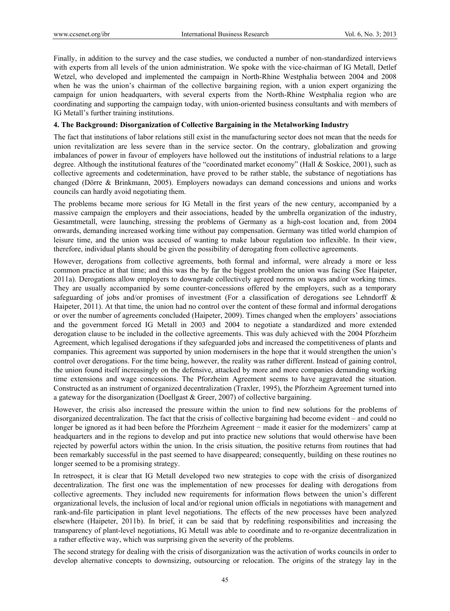Finally, in addition to the survey and the case studies, we conducted a number of non-standardized interviews with experts from all levels of the union administration. We spoke with the vice-chairman of IG Metall, Detlef Wetzel, who developed and implemented the campaign in North-Rhine Westphalia between 2004 and 2008 when he was the union's chairman of the collective bargaining region, with a union expert organizing the campaign for union headquarters, with several experts from the North-Rhine Westphalia region who are coordinating and supporting the campaign today, with union-oriented business consultants and with members of IG Metall's further training institutions.

# **4. The Background: Disorganization of Collective Bargaining in the Metalworking Industry**

The fact that institutions of labor relations still exist in the manufacturing sector does not mean that the needs for union revitalization are less severe than in the service sector. On the contrary, globalization and growing imbalances of power in favour of employers have hollowed out the institutions of industrial relations to a large degree. Although the institutional features of the "coordinated market economy" (Hall & Soskice, 2001), such as collective agreements and codetermination, have proved to be rather stable, the substance of negotiations has changed (Dörre & Brinkmann, 2005). Employers nowadays can demand concessions and unions and works councils can hardly avoid negotiating them.

The problems became more serious for IG Metall in the first years of the new century, accompanied by a massive campaign the employers and their associations, headed by the umbrella organization of the industry, Gesamtmetall, were launching, stressing the problems of Germany as a high-cost location and, from 2004 onwards, demanding increased working time without pay compensation. Germany was titled world champion of leisure time, and the union was accused of wanting to make labour regulation too inflexible. In their view, therefore, individual plants should be given the possibility of derogating from collective agreements.

However, derogations from collective agreements, both formal and informal, were already a more or less common practice at that time; and this was the by far the biggest problem the union was facing (See Haipeter, 2011a). Derogations allow employers to downgrade collectively agreed norms on wages and/or working times. They are usually accompanied by some counter-concessions offered by the employers, such as a temporary safeguarding of jobs and/or promises of investment (For a classification of derogations see Lehndorff & Haipeter, 2011). At that time, the union had no control over the content of these formal and informal derogations or over the number of agreements concluded (Haipeter, 2009). Times changed when the employers' associations and the government forced IG Metall in 2003 and 2004 to negotiate a standardized and more extended derogation clause to be included in the collective agreements. This was duly achieved with the 2004 Pforzheim Agreement, which legalised derogations if they safeguarded jobs and increased the competitiveness of plants and companies. This agreement was supported by union modernisers in the hope that it would strengthen the union's control over derogations. For the time being, however, the reality was rather different. Instead of gaining control, the union found itself increasingly on the defensive, attacked by more and more companies demanding working time extensions and wage concessions. The Pforzheim Agreement seems to have aggravated the situation. Constructed as an instrument of organized decentralization (Traxler, 1995), the Pforzheim Agreement turned into a gateway for the disorganization (Doellgast & Greer, 2007) of collective bargaining.

However, the crisis also increased the pressure within the union to find new solutions for the problems of disorganized decentralization. The fact that the crisis of collective bargaining had become evident – and could no longer be ignored as it had been before the Pforzheim Agreement − made it easier for the modernizers' camp at headquarters and in the regions to develop and put into practice new solutions that would otherwise have been rejected by powerful actors within the union. In the crisis situation, the positive returns from routines that had been remarkably successful in the past seemed to have disappeared; consequently, building on these routines no longer seemed to be a promising strategy.

In retrospect, it is clear that IG Metall developed two new strategies to cope with the crisis of disorganized decentralization. The first one was the implementation of new processes for dealing with derogations from collective agreements. They included new requirements for information flows between the union's different organizational levels, the inclusion of local and/or regional union officials in negotiations with management and rank-and-file participation in plant level negotiations. The effects of the new processes have been analyzed elsewhere (Haipeter, 2011b). In brief, it can be said that by redefining responsibilities and increasing the transparency of plant-level negotiations, IG Metall was able to coordinate and to re-organize decentralization in a rather effective way, which was surprising given the severity of the problems.

The second strategy for dealing with the crisis of disorganization was the activation of works councils in order to develop alternative concepts to downsizing, outsourcing or relocation. The origins of the strategy lay in the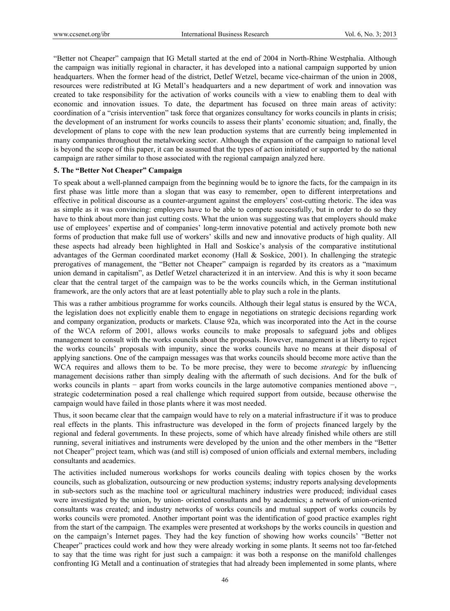"Better not Cheaper" campaign that IG Metall started at the end of 2004 in North-Rhine Westphalia. Although the campaign was initially regional in character, it has developed into a national campaign supported by union headquarters. When the former head of the district, Detlef Wetzel, became vice-chairman of the union in 2008, resources were redistributed at IG Metall's headquarters and a new department of work and innovation was created to take responsibility for the activation of works councils with a view to enabling them to deal with economic and innovation issues. To date, the department has focused on three main areas of activity: coordination of a "crisis intervention" task force that organizes consultancy for works councils in plants in crisis; the development of an instrument for works councils to assess their plants' economic situation; and, finally, the development of plans to cope with the new lean production systems that are currently being implemented in many companies throughout the metalworking sector. Although the expansion of the campaign to national level is beyond the scope of this paper, it can be assumed that the types of action initiated or supported by the national campaign are rather similar to those associated with the regional campaign analyzed here.

# **5. The "Better Not Cheaper" Campaign**

To speak about a well-planned campaign from the beginning would be to ignore the facts, for the campaign in its first phase was little more than a slogan that was easy to remember, open to different interpretations and effective in political discourse as a counter-argument against the employers' cost-cutting rhetoric. The idea was as simple as it was convincing: employers have to be able to compete successfully, but in order to do so they have to think about more than just cutting costs. What the union was suggesting was that employers should make use of employees' expertise and of companies' long-term innovative potential and actively promote both new forms of production that make full use of workers' skills and new and innovative products of high quality. All these aspects had already been highlighted in Hall and Soskice's analysis of the comparative institutional advantages of the German coordinated market economy (Hall & Soskice, 2001). In challenging the strategic prerogatives of management, the "Better not Cheaper" campaign is regarded by its creators as a "maximum union demand in capitalism", as Detlef Wetzel characterized it in an interview. And this is why it soon became clear that the central target of the campaign was to be the works councils which, in the German institutional framework, are the only actors that are at least potentially able to play such a role in the plants.

This was a rather ambitious programme for works councils. Although their legal status is ensured by the WCA, the legislation does not explicitly enable them to engage in negotiations on strategic decisions regarding work and company organization, products or markets. Clause 92a, which was incorporated into the Act in the course of the WCA reform of 2001, allows works councils to make proposals to safeguard jobs and obliges management to consult with the works councils about the proposals. However, management is at liberty to reject the works councils' proposals with impunity, since the works councils have no means at their disposal of applying sanctions. One of the campaign messages was that works councils should become more active than the WCA requires and allows them to be. To be more precise, they were to become *strategic* by influencing management decisions rather than simply dealing with the aftermath of such decisions. And for the bulk of works councils in plants − apart from works councils in the large automotive companies mentioned above −, strategic codetermination posed a real challenge which required support from outside, because otherwise the campaign would have failed in those plants where it was most needed.

Thus, it soon became clear that the campaign would have to rely on a material infrastructure if it was to produce real effects in the plants. This infrastructure was developed in the form of projects financed largely by the regional and federal governments. In these projects, some of which have already finished while others are still running, several initiatives and instruments were developed by the union and the other members in the "Better not Cheaper" project team, which was (and still is) composed of union officials and external members, including consultants and academics.

The activities included numerous workshops for works councils dealing with topics chosen by the works councils, such as globalization, outsourcing or new production systems; industry reports analysing developments in sub-sectors such as the machine tool or agricultural machinery industries were produced; individual cases were investigated by the union, by union- oriented consultants and by academics; a network of union-oriented consultants was created; and industry networks of works councils and mutual support of works councils by works councils were promoted. Another important point was the identification of good practice examples right from the start of the campaign. The examples were presented at workshops by the works councils in question and on the campaign's Internet pages. They had the key function of showing how works councils' "Better not Cheaper" practices could work and how they were already working in some plants. It seems not too far-fetched to say that the time was right for just such a campaign: it was both a response on the manifold challenges confronting IG Metall and a continuation of strategies that had already been implemented in some plants, where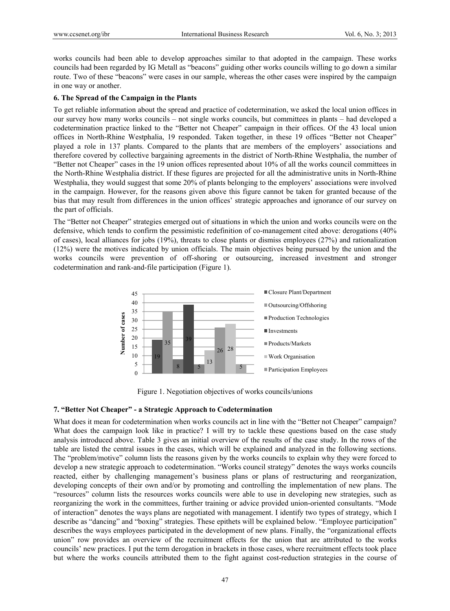works councils had been able to develop approaches similar to that adopted in the campaign. These works councils had been regarded by IG Metall as "beacons" guiding other works councils willing to go down a similar route. Two of these "beacons" were cases in our sample, whereas the other cases were inspired by the campaign in one way or another.

#### **6. The Spread of the Campaign in the Plants**

To get reliable information about the spread and practice of codetermination, we asked the local union offices in our survey how many works councils – not single works councils, but committees in plants – had developed a codetermination practice linked to the "Better not Cheaper" campaign in their offices. Of the 43 local union offices in North-Rhine Westphalia, 19 responded. Taken together, in these 19 offices "Better not Cheaper" played a role in 137 plants. Compared to the plants that are members of the employers' associations and therefore covered by collective bargaining agreements in the district of North-Rhine Westphalia, the number of "Better not Cheaper" cases in the 19 union offices represented about 10% of all the works council committees in the North-Rhine Westphalia district. If these figures are projected for all the administrative units in North-Rhine Westphalia, they would suggest that some 20% of plants belonging to the employers' associations were involved in the campaign. However, for the reasons given above this figure cannot be taken for granted because of the bias that may result from differences in the union offices' strategic approaches and ignorance of our survey on the part of officials.

The "Better not Cheaper" strategies emerged out of situations in which the union and works councils were on the defensive, which tends to confirm the pessimistic redefinition of co-management cited above: derogations (40% of cases), local alliances for jobs (19%), threats to close plants or dismiss employees (27%) and rationalization (12%) were the motives indicated by union officials. The main objectives being pursued by the union and the works councils were prevention of off-shoring or outsourcing, increased investment and stronger codetermination and rank-and-file participation (Figure 1).



Figure 1. Negotiation objectives of works councils/unions

## **7. "Better Not Cheaper" - a Strategic Approach to Codetermination**

What does it mean for codetermination when works councils act in line with the "Better not Cheaper" campaign? What does the campaign look like in practice? I will try to tackle these questions based on the case study analysis introduced above. Table 3 gives an initial overview of the results of the case study. In the rows of the table are listed the central issues in the cases, which will be explained and analyzed in the following sections. The "problem/motive" column lists the reasons given by the works councils to explain why they were forced to develop a new strategic approach to codetermination. "Works council strategy" denotes the ways works councils reacted, either by challenging management's business plans or plans of restructuring and reorganization, developing concepts of their own and/or by promoting and controlling the implementation of new plans. The "resources" column lists the resources works councils were able to use in developing new strategies, such as reorganizing the work in the committees, further training or advice provided union-oriented consultants. "Mode of interaction" denotes the ways plans are negotiated with management. I identify two types of strategy, which I describe as "dancing" and "boxing" strategies. These epithets will be explained below. "Employee participation" describes the ways employees participated in the development of new plans. Finally, the "organizational effects union" row provides an overview of the recruitment effects for the union that are attributed to the works councils' new practices. I put the term derogation in brackets in those cases, where recruitment effects took place but where the works councils attributed them to the fight against cost-reduction strategies in the course of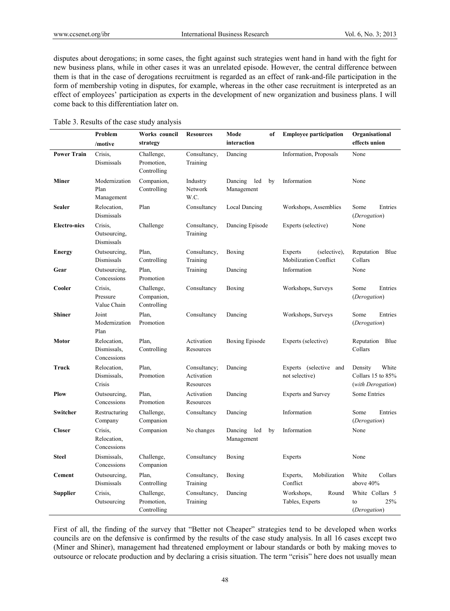disputes about derogations; in some cases, the fight against such strategies went hand in hand with the fight for new business plans, while in other cases it was an unrelated episode. However, the central difference between them is that in the case of derogations recruitment is regarded as an effect of rank-and-file participation in the form of membership voting in disputes, for example, whereas in the other case recruitment is interpreted as an effect of employees' participation as experts in the development of new organization and business plans. I will come back to this differentiation later on.

| Table 3. Results of the case study analysis |  |
|---------------------------------------------|--|
|---------------------------------------------|--|

|                     | Problem                                   | Works council<br>strategy               | <b>Resources</b>                        | Mode<br>of<br>interaction          | <b>Employee participation</b>                           | Organisational<br>effects union                            |
|---------------------|-------------------------------------------|-----------------------------------------|-----------------------------------------|------------------------------------|---------------------------------------------------------|------------------------------------------------------------|
|                     | /motive                                   |                                         |                                         |                                    |                                                         |                                                            |
| <b>Power Train</b>  | Crisis,<br>Dismissals                     | Challenge,<br>Promotion,<br>Controlling | Consultancy,<br>Training                | Dancing                            | Information, Proposals                                  | None                                                       |
| Miner               | Modernization<br>Plan<br>Management       | Companion,<br>Controlling               | Industry<br>Network<br>W.C.             | Dancing<br>led<br>by<br>Management | Information                                             | None                                                       |
| <b>Sealer</b>       | Relocation,<br>Dismissals                 | Plan                                    | Consultancy                             | Local Dancing                      | Workshops, Assemblies                                   | Entries<br>Some<br>(Derogation)                            |
| <b>Electro-nics</b> | Crisis.<br>Outsourcing,<br>Dismissals     | Challenge                               | Consultancy,<br>Training                | Dancing Episode                    | Experts (selective)                                     | None                                                       |
| <b>Energy</b>       | Outsourcing,<br>Dismissals                | Plan,<br>Controlling                    | Consultancy,<br>Training                | Boxing                             | Experts<br>(selective),<br><b>Mobilization Conflict</b> | Reputation<br>Blue<br>Collars                              |
| Gear                | Outsourcing,<br>Concessions               | Plan,<br>Promotion                      | Training                                | Dancing                            | Information                                             | None                                                       |
| Cooler              | Crisis.<br>Pressure<br>Value Chain        | Challenge,<br>Companion,<br>Controlling | Consultancy                             | Boxing                             | Workshops, Surveys                                      | Some<br>Entries<br>(Derogation)                            |
| <b>Shiner</b>       | Joint<br>Modernization<br>Plan            | Plan,<br>Promotion                      | Consultancy                             | Dancing                            | Workshops, Surveys                                      | Some<br>Entries<br>(Derogation)                            |
| Motor               | Relocation,<br>Dismissals,<br>Concessions | Plan,<br>Controlling                    | Activation<br>Resources                 | Boxing Episode                     | Experts (selective)                                     | Reputation Blue<br>Collars                                 |
| Truck               | Relocation,<br>Dismissals,<br>Crisis      | Plan,<br>Promotion                      | Consultancy;<br>Activation<br>Resources | Dancing                            | Experts (selective<br>and<br>not selective)             | White<br>Density<br>Collars 15 to 85%<br>(with Derogation) |
| Plow                | Outsourcing,<br>Concessions               | Plan,<br>Promotion                      | Activation<br>Resources                 | Dancing                            | <b>Experts and Survey</b>                               | Some Entries                                               |
| Switcher            | Restructuring<br>Company                  | Challenge,<br>Companion                 | Consultancy                             | Dancing                            | Information                                             | Some<br>Entries<br>(Derogation)                            |
| <b>Closer</b>       | Crisis,<br>Relocation,<br>Concessions     | Companion                               | No changes                              | Dancing<br>led<br>by<br>Management | Information                                             | None                                                       |
| <b>Steel</b>        | Dismissals,<br>Concessions                | Challenge,<br>Companion                 | Consultancy                             | Boxing                             | Experts                                                 | None                                                       |
| <b>Cement</b>       | Outsourcing,<br>Dismissals                | Plan,<br>Controlling                    | Consultancy,<br>Training                | Boxing                             | Mobilization<br>Experts,<br>Conflict                    | White<br>Collars<br>above 40%                              |
| <b>Supplier</b>     | Crisis,<br>Outsourcing                    | Challenge,<br>Promotion,<br>Controlling | Consultancy,<br>Training                | Dancing                            | Workshops,<br>Round<br>Tables, Experts                  | White Collars 5<br>25%<br>to<br>(Derogation)               |

First of all, the finding of the survey that "Better not Cheaper" strategies tend to be developed when works councils are on the defensive is confirmed by the results of the case study analysis. In all 16 cases except two (Miner and Shiner), management had threatened employment or labour standards or both by making moves to outsource or relocate production and by declaring a crisis situation. The term "crisis" here does not usually mean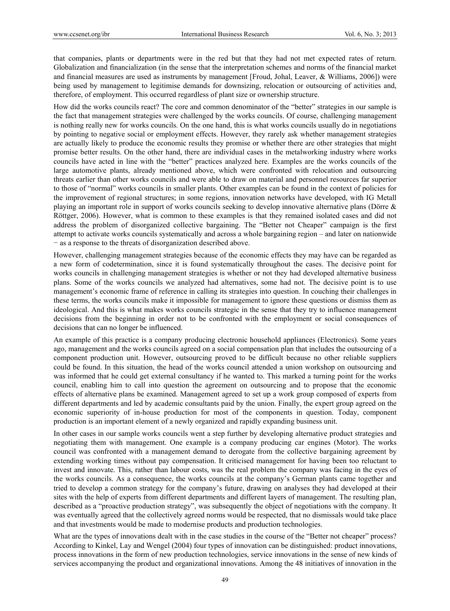that companies, plants or departments were in the red but that they had not met expected rates of return. Globalization and financialization (in the sense that the interpretation schemes and norms of the financial market and financial measures are used as instruments by management [Froud, Johal, Leaver, & Williams, 2006]) were being used by management to legitimise demands for downsizing, relocation or outsourcing of activities and, therefore, of employment. This occurred regardless of plant size or ownership structure.

How did the works councils react? The core and common denominator of the "better" strategies in our sample is the fact that management strategies were challenged by the works councils. Of course, challenging management is nothing really new for works councils. On the one hand, this is what works councils usually do in negotiations by pointing to negative social or employment effects. However, they rarely ask whether management strategies are actually likely to produce the economic results they promise or whether there are other strategies that might promise better results. On the other hand, there are individual cases in the metalworking industry where works councils have acted in line with the "better" practices analyzed here. Examples are the works councils of the large automotive plants, already mentioned above, which were confronted with relocation and outsourcing threats earlier than other works councils and were able to draw on material and personnel resources far superior to those of "normal" works councils in smaller plants. Other examples can be found in the context of policies for the improvement of regional structures; in some regions, innovation networks have developed, with IG Metall playing an important role in support of works councils seeking to develop innovative alternative plans (Dörre & Röttger, 2006). However, what is common to these examples is that they remained isolated cases and did not address the problem of disorganized collective bargaining. The "Better not Cheaper" campaign is the first attempt to activate works councils systematically and across a whole bargaining region – and later on nationwide − as a response to the threats of disorganization described above.

However, challenging management strategies because of the economic effects they may have can be regarded as a new form of codetermination, since it is found systematically throughout the cases. The decisive point for works councils in challenging management strategies is whether or not they had developed alternative business plans. Some of the works councils we analyzed had alternatives, some had not. The decisive point is to use management's economic frame of reference in calling its strategies into question. In couching their challenges in these terms, the works councils make it impossible for management to ignore these questions or dismiss them as ideological. And this is what makes works councils strategic in the sense that they try to influence management decisions from the beginning in order not to be confronted with the employment or social consequences of decisions that can no longer be influenced.

An example of this practice is a company producing electronic household appliances (Electronics). Some years ago, management and the works councils agreed on a social compensation plan that includes the outsourcing of a component production unit. However, outsourcing proved to be difficult because no other reliable suppliers could be found. In this situation, the head of the works council attended a union workshop on outsourcing and was informed that he could get external consultancy if he wanted to. This marked a turning point for the works council, enabling him to call into question the agreement on outsourcing and to propose that the economic effects of alternative plans be examined. Management agreed to set up a work group composed of experts from different departments and led by academic consultants paid by the union. Finally, the expert group agreed on the economic superiority of in-house production for most of the components in question. Today, component production is an important element of a newly organized and rapidly expanding business unit.

In other cases in our sample works councils went a step further by developing alternative product strategies and negotiating them with management. One example is a company producing car engines (Motor). The works council was confronted with a management demand to derogate from the collective bargaining agreement by extending working times without pay compensation. It criticised management for having been too reluctant to invest and innovate. This, rather than labour costs, was the real problem the company was facing in the eyes of the works councils. As a consequence, the works councils at the company's German plants came together and tried to develop a common strategy for the company's future, drawing on analyses they had developed at their sites with the help of experts from different departments and different layers of management. The resulting plan, described as a "proactive production strategy", was subsequently the object of negotiations with the company. It was eventually agreed that the collectively agreed norms would be respected, that no dismissals would take place and that investments would be made to modernise products and production technologies.

What are the types of innovations dealt with in the case studies in the course of the "Better not cheaper" process? According to Kinkel, Lay and Wengel (2004) four types of innovation can be distinguished: product innovations, process innovations in the form of new production technologies, service innovations in the sense of new kinds of services accompanying the product and organizational innovations. Among the 48 initiatives of innovation in the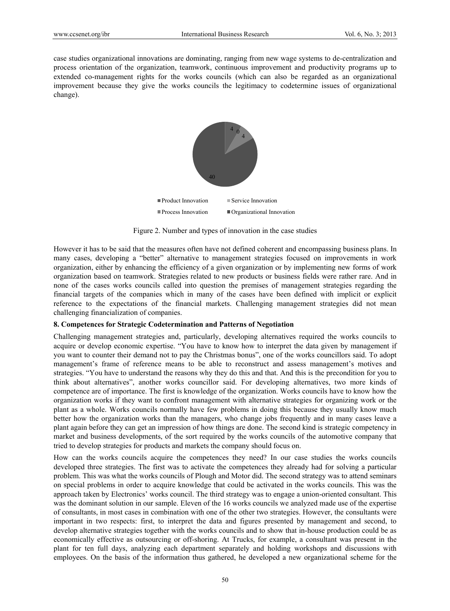case studies organizational innovations are dominating, ranging from new wage systems to de-centralization and process orientation of the organization, teamwork, continuous improvement and productivity programs up to extended co-management rights for the works councils (which can also be regarded as an organizational improvement because they give the works councils the legitimacy to codetermine issues of organizational change).



Figure 2. Number and types of innovation in the case studies

However it has to be said that the measures often have not defined coherent and encompassing business plans. In many cases, developing a "better" alternative to management strategies focused on improvements in work organization, either by enhancing the efficiency of a given organization or by implementing new forms of work organization based on teamwork. Strategies related to new products or business fields were rather rare. And in none of the cases works councils called into question the premises of management strategies regarding the financial targets of the companies which in many of the cases have been defined with implicit or explicit reference to the expectations of the financial markets. Challenging management strategies did not mean challenging financialization of companies.

# **8. Competences for Strategic Codetermination and Patterns of Negotiation**

Challenging management strategies and, particularly, developing alternatives required the works councils to acquire or develop economic expertise. "You have to know how to interpret the data given by management if you want to counter their demand not to pay the Christmas bonus", one of the works councillors said. To adopt management's frame of reference means to be able to reconstruct and assess management's motives and strategies. "You have to understand the reasons why they do this and that. And this is the precondition for you to think about alternatives", another works councillor said. For developing alternatives, two more kinds of competence are of importance. The first is knowledge of the organization. Works councils have to know how the organization works if they want to confront management with alternative strategies for organizing work or the plant as a whole. Works councils normally have few problems in doing this because they usually know much better how the organization works than the managers, who change jobs frequently and in many cases leave a plant again before they can get an impression of how things are done. The second kind is strategic competency in market and business developments, of the sort required by the works councils of the automotive company that tried to develop strategies for products and markets the company should focus on.

How can the works councils acquire the competences they need? In our case studies the works councils developed three strategies. The first was to activate the competences they already had for solving a particular problem. This was what the works councils of Plough and Motor did. The second strategy was to attend seminars on special problems in order to acquire knowledge that could be activated in the works councils. This was the approach taken by Electronics' works council. The third strategy was to engage a union-oriented consultant. This was the dominant solution in our sample. Eleven of the 16 works councils we analyzed made use of the expertise of consultants, in most cases in combination with one of the other two strategies. However, the consultants were important in two respects: first, to interpret the data and figures presented by management and second, to develop alternative strategies together with the works councils and to show that in-house production could be as economically effective as outsourcing or off-shoring. At Trucks, for example, a consultant was present in the plant for ten full days, analyzing each department separately and holding workshops and discussions with employees. On the basis of the information thus gathered, he developed a new organizational scheme for the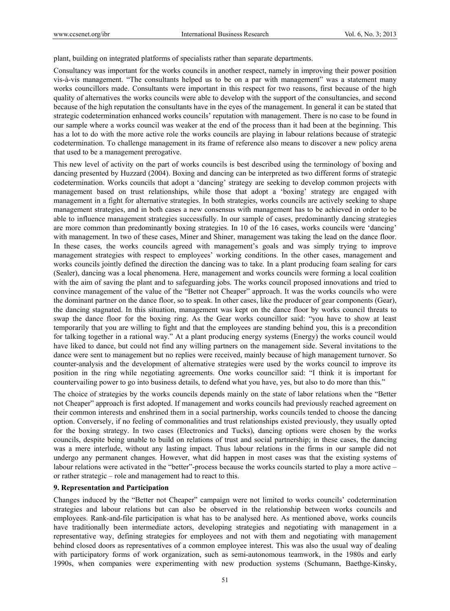plant, building on integrated platforms of specialists rather than separate departments.

Consultancy was important for the works councils in another respect, namely in improving their power position vis-à-vis management. "The consultants helped us to be on a par with management" was a statement many works councillors made. Consultants were important in this respect for two reasons, first because of the high quality of alternatives the works councils were able to develop with the support of the consultancies, and second because of the high reputation the consultants have in the eyes of the management. In general it can be stated that strategic codetermination enhanced works councils' reputation with management. There is no case to be found in our sample where a works council was weaker at the end of the process than it had been at the beginning. This has a lot to do with the more active role the works councils are playing in labour relations because of strategic codetermination. To challenge management in its frame of reference also means to discover a new policy arena that used to be a management prerogative.

This new level of activity on the part of works councils is best described using the terminology of boxing and dancing presented by Huzzard (2004). Boxing and dancing can be interpreted as two different forms of strategic codetermination. Works councils that adopt a 'dancing' strategy are seeking to develop common projects with management based on trust relationships, while those that adopt a 'boxing' strategy are engaged with management in a fight for alternative strategies. In both strategies, works councils are actively seeking to shape management strategies, and in both cases a new consensus with management has to be achieved in order to be able to influence management strategies successfully. In our sample of cases, predominantly dancing strategies are more common than predominantly boxing strategies. In 10 of the 16 cases, works councils were 'dancing' with management. In two of these cases, Miner and Shiner, management was taking the lead on the dance floor. In these cases, the works councils agreed with management's goals and was simply trying to improve management strategies with respect to employees' working conditions. In the other cases, management and works councils jointly defined the direction the dancing was to take. In a plant producing foam sealing for cars (Sealer), dancing was a local phenomena. Here, management and works councils were forming a local coalition with the aim of saving the plant and to safeguarding jobs. The works council proposed innovations and tried to convince management of the value of the "Better not Cheaper" approach. It was the works councils who were the dominant partner on the dance floor, so to speak. In other cases, like the producer of gear components (Gear), the dancing stagnated. In this situation, management was kept on the dance floor by works council threats to swap the dance floor for the boxing ring. As the Gear works councillor said: "you have to show at least temporarily that you are willing to fight and that the employees are standing behind you, this is a precondition for talking together in a rational way." At a plant producing energy systems (Energy) the works council would have liked to dance, but could not find any willing partners on the management side. Several invitations to the dance were sent to management but no replies were received, mainly because of high management turnover. So counter-analysis and the development of alternative strategies were used by the works council to improve its position in the ring while negotiating agreements. One works councillor said: "I think it is important for countervailing power to go into business details, to defend what you have, yes, but also to do more than this."

The choice of strategies by the works councils depends mainly on the state of labor relations when the "Better not Cheaper" approach is first adopted. If management and works councils had previously reached agreement on their common interests and enshrined them in a social partnership, works councils tended to choose the dancing option. Conversely, if no feeling of commonalities and trust relationships existed previously, they usually opted for the boxing strategy. In two cases (Electronics and Tucks), dancing options were chosen by the works councils, despite being unable to build on relations of trust and social partnership; in these cases, the dancing was a mere interlude, without any lasting impact. Thus labour relations in the firms in our sample did not undergo any permanent changes. However, what did happen in most cases was that the existing systems of labour relations were activated in the "better"-process because the works councils started to play a more active – or rather strategic – role and management had to react to this.

## **9. Representation and Participation**

Changes induced by the "Better not Cheaper" campaign were not limited to works councils' codetermination strategies and labour relations but can also be observed in the relationship between works councils and employees. Rank-and-file participation is what has to be analysed here. As mentioned above, works councils have traditionally been intermediate actors, developing strategies and negotiating with management in a representative way, defining strategies for employees and not with them and negotiating with management behind closed doors as representatives of a common employee interest. This was also the usual way of dealing with participatory forms of work organization, such as semi-autonomous teamwork, in the 1980s and early 1990s, when companies were experimenting with new production systems (Schumann, Baethge-Kinsky,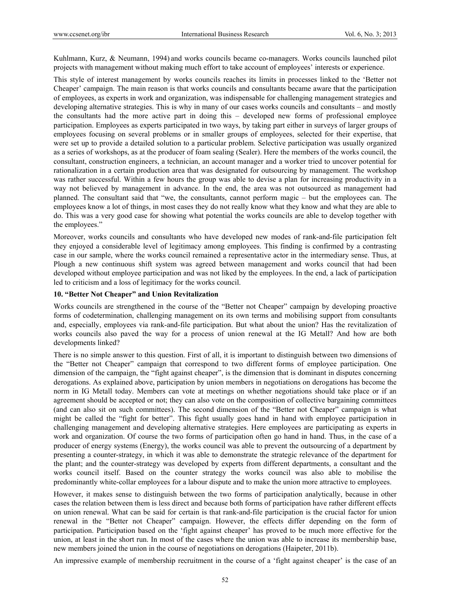Kuhlmann, Kurz, & Neumann, 1994) and works councils became co-managers. Works councils launched pilot projects with management without making much effort to take account of employees' interests or experience.

This style of interest management by works councils reaches its limits in processes linked to the 'Better not Cheaper' campaign. The main reason is that works councils and consultants became aware that the participation of employees, as experts in work and organization, was indispensable for challenging management strategies and developing alternative strategies. This is why in many of our cases works councils and consultants – and mostly the consultants had the more active part in doing this – developed new forms of professional employee participation. Employees as experts participated in two ways, by taking part either in surveys of larger groups of employees focusing on several problems or in smaller groups of employees, selected for their expertise, that were set up to provide a detailed solution to a particular problem. Selective participation was usually organized as a series of workshops, as at the producer of foam sealing (Sealer). Here the members of the works council, the consultant, construction engineers, a technician, an account manager and a worker tried to uncover potential for rationalization in a certain production area that was designated for outsourcing by management. The workshop was rather successful. Within a few hours the group was able to devise a plan for increasing productivity in a way not believed by management in advance. In the end, the area was not outsourced as management had planned. The consultant said that "we, the consultants, cannot perform magic – but the employees can. The employees know a lot of things, in most cases they do not really know what they know and what they are able to do. This was a very good case for showing what potential the works councils are able to develop together with the employees."

Moreover, works councils and consultants who have developed new modes of rank-and-file participation felt they enjoyed a considerable level of legitimacy among employees. This finding is confirmed by a contrasting case in our sample, where the works council remained a representative actor in the intermediary sense. Thus, at Plough a new continuous shift system was agreed between management and works council that had been developed without employee participation and was not liked by the employees. In the end, a lack of participation led to criticism and a loss of legitimacy for the works council.

# **10. "Better Not Cheaper" and Union Revitalization**

Works councils are strengthened in the course of the "Better not Cheaper" campaign by developing proactive forms of codetermination, challenging management on its own terms and mobilising support from consultants and, especially, employees via rank-and-file participation. But what about the union? Has the revitalization of works councils also paved the way for a process of union renewal at the IG Metall? And how are both developments linked?

There is no simple answer to this question. First of all, it is important to distinguish between two dimensions of the "Better not Cheaper" campaign that correspond to two different forms of employee participation. One dimension of the campaign, the "fight against cheaper", is the dimension that is dominant in disputes concerning derogations. As explained above, participation by union members in negotiations on derogations has become the norm in IG Metall today. Members can vote at meetings on whether negotiations should take place or if an agreement should be accepted or not; they can also vote on the composition of collective bargaining committees (and can also sit on such committees). The second dimension of the "Better not Cheaper" campaign is what might be called the "fight for better". This fight usually goes hand in hand with employee participation in challenging management and developing alternative strategies. Here employees are participating as experts in work and organization. Of course the two forms of participation often go hand in hand. Thus, in the case of a producer of energy systems (Energy), the works council was able to prevent the outsourcing of a department by presenting a counter-strategy, in which it was able to demonstrate the strategic relevance of the department for the plant; and the counter-strategy was developed by experts from different departments, a consultant and the works council itself. Based on the counter strategy the works council was also able to mobilise the predominantly white-collar employees for a labour dispute and to make the union more attractive to employees.

However, it makes sense to distinguish between the two forms of participation analytically, because in other cases the relation between them is less direct and because both forms of participation have rather different effects on union renewal. What can be said for certain is that rank-and-file participation is the crucial factor for union renewal in the "Better not Cheaper" campaign. However, the effects differ depending on the form of participation. Participation based on the 'fight against cheaper' has proved to be much more effective for the union, at least in the short run. In most of the cases where the union was able to increase its membership base, new members joined the union in the course of negotiations on derogations (Haipeter, 2011b).

An impressive example of membership recruitment in the course of a 'fight against cheaper' is the case of an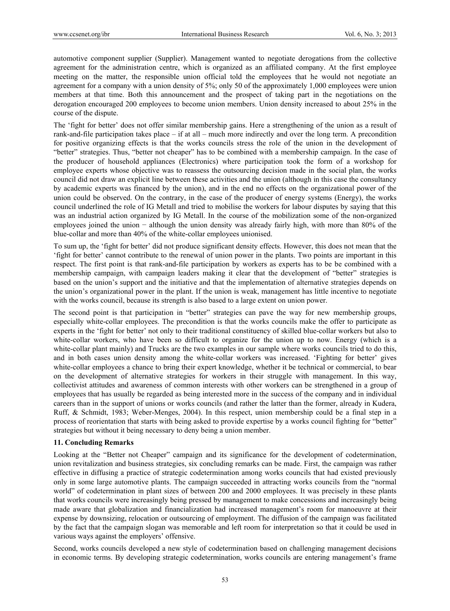automotive component supplier (Supplier). Management wanted to negotiate derogations from the collective agreement for the administration centre, which is organized as an affiliated company. At the first employee meeting on the matter, the responsible union official told the employees that he would not negotiate an agreement for a company with a union density of 5%; only 50 of the approximately 1,000 employees were union members at that time. Both this announcement and the prospect of taking part in the negotiations on the derogation encouraged 200 employees to become union members. Union density increased to about 25% in the course of the dispute.

The 'fight for better' does not offer similar membership gains. Here a strengthening of the union as a result of rank-and-file participation takes place – if at all – much more indirectly and over the long term. A precondition for positive organizing effects is that the works councils stress the role of the union in the development of "better" strategies. Thus, "better not cheaper" has to be combined with a membership campaign. In the case of the producer of household appliances (Electronics) where participation took the form of a workshop for employee experts whose objective was to reassess the outsourcing decision made in the social plan, the works council did not draw an explicit line between these activities and the union (although in this case the consultancy by academic experts was financed by the union), and in the end no effects on the organizational power of the union could be observed. On the contrary, in the case of the producer of energy systems (Energy), the works council underlined the role of IG Metall and tried to mobilise the workers for labour disputes by saying that this was an industrial action organized by IG Metall. In the course of the mobilization some of the non-organized employees joined the union − although the union density was already fairly high, with more than 80% of the blue-collar and more than 40% of the white-collar employees unionised.

To sum up, the 'fight for better' did not produce significant density effects. However, this does not mean that the 'fight for better' cannot contribute to the renewal of union power in the plants. Two points are important in this respect. The first point is that rank-and-file participation by workers as experts has to be be combined with a membership campaign, with campaign leaders making it clear that the development of "better" strategies is based on the union's support and the initiative and that the implementation of alternative strategies depends on the union's organizational power in the plant. If the union is weak, management has little incentive to negotiate with the works council, because its strength is also based to a large extent on union power.

The second point is that participation in "better" strategies can pave the way for new membership groups, especially white-collar employees. The precondition is that the works councils make the offer to participate as experts in the 'fight for better' not only to their traditional constituency of skilled blue-collar workers but also to white-collar workers, who have been so difficult to organize for the union up to now. Energy (which is a white-collar plant mainly) and Trucks are the two examples in our sample where works councils tried to do this, and in both cases union density among the white-collar workers was increased. 'Fighting for better' gives white-collar employees a chance to bring their expert knowledge, whether it be technical or commercial, to bear on the development of alternative strategies for workers in their struggle with management. In this way, collectivist attitudes and awareness of common interests with other workers can be strengthened in a group of employees that has usually be regarded as being interested more in the success of the company and in individual careers than in the support of unions or works councils (and rather the latter than the former, already in Kudera, Ruff, & Schmidt, 1983; Weber-Menges, 2004). In this respect, union membership could be a final step in a process of reorientation that starts with being asked to provide expertise by a works council fighting for "better" strategies but without it being necessary to deny being a union member.

## **11. Concluding Remarks**

Looking at the "Better not Cheaper" campaign and its significance for the development of codetermination, union revitalization and business strategies, six concluding remarks can be made. First, the campaign was rather effective in diffusing a practice of strategic codetermination among works councils that had existed previously only in some large automotive plants. The campaign succeeded in attracting works councils from the "normal world" of codetermination in plant sizes of between 200 and 2000 employees. It was precisely in these plants that works councils were increasingly being pressed by management to make concessions and increasingly being made aware that globalization and financialization had increased management's room for manoeuvre at their expense by downsizing, relocation or outsourcing of employment. The diffusion of the campaign was facilitated by the fact that the campaign slogan was memorable and left room for interpretation so that it could be used in various ways against the employers' offensive.

Second, works councils developed a new style of codetermination based on challenging management decisions in economic terms. By developing strategic codetermination, works councils are entering management's frame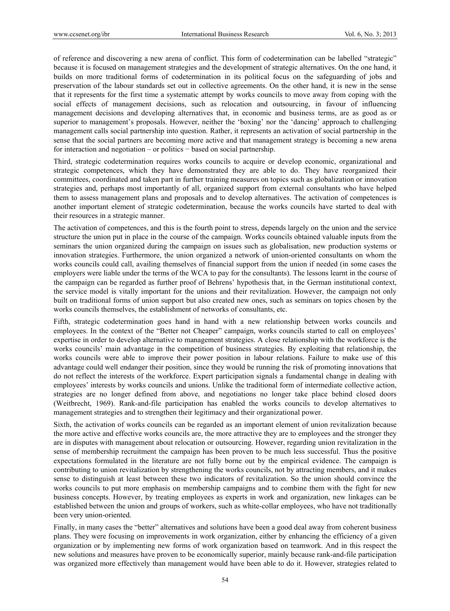of reference and discovering a new arena of conflict. This form of codetermination can be labelled "strategic" because it is focused on management strategies and the development of strategic alternatives. On the one hand, it builds on more traditional forms of codetermination in its political focus on the safeguarding of jobs and preservation of the labour standards set out in collective agreements. On the other hand, it is new in the sense that it represents for the first time a systematic attempt by works councils to move away from coping with the social effects of management decisions, such as relocation and outsourcing, in favour of influencing management decisions and developing alternatives that, in economic and business terms, are as good as or superior to management's proposals. However, neither the 'boxing' nor the 'dancing' approach to challenging management calls social partnership into question. Rather, it represents an activation of social partnership in the sense that the social partners are becoming more active and that management strategy is becoming a new arena for interaction and negotiation – or politics − based on social partnership.

Third, strategic codetermination requires works councils to acquire or develop economic, organizational and strategic competences, which they have demonstrated they are able to do. They have reorganized their committees, coordinated and taken part in further training measures on topics such as globalization or innovation strategies and, perhaps most importantly of all, organized support from external consultants who have helped them to assess management plans and proposals and to develop alternatives. The activation of competences is another important element of strategic codetermination, because the works councils have started to deal with their resources in a strategic manner.

The activation of competences, and this is the fourth point to stress, depends largely on the union and the service structure the union put in place in the course of the campaign. Works councils obtained valuable inputs from the seminars the union organized during the campaign on issues such as globalisation, new production systems or innovation strategies. Furthermore, the union organized a network of union-oriented consultants on whom the works councils could call, availing themselves of financial support from the union if needed (in some cases the employers were liable under the terms of the WCA to pay for the consultants). The lessons learnt in the course of the campaign can be regarded as further proof of Behrens' hypothesis that, in the German institutional context, the service model is vitally important for the unions and their revitalization. However, the campaign not only built on traditional forms of union support but also created new ones, such as seminars on topics chosen by the works councils themselves, the establishment of networks of consultants, etc.

Fifth, strategic codetermination goes hand in hand with a new relationship between works councils and employees. In the context of the "Better not Cheaper" campaign, works councils started to call on employees' expertise in order to develop alternative to management strategies. A close relationship with the workforce is the works councils' main advantage in the competition of business strategies. By exploiting that relationship, the works councils were able to improve their power position in labour relations. Failure to make use of this advantage could well endanger their position, since they would be running the risk of promoting innovations that do not reflect the interests of the workforce. Expert participation signals a fundamental change in dealing with employees' interests by works councils and unions. Unlike the traditional form of intermediate collective action, strategies are no longer defined from above, and negotiations no longer take place behind closed doors (Weitbrecht, 1969). Rank-and-file participation has enabled the works councils to develop alternatives to management strategies and to strengthen their legitimacy and their organizational power.

Sixth, the activation of works councils can be regarded as an important element of union revitalization because the more active and effective works councils are, the more attractive they are to employees and the stronger they are in disputes with management about relocation or outsourcing. However, regarding union revitalization in the sense of membership recruitment the campaign has been proven to be much less successful. Thus the positive expectations formulated in the literature are not fully borne out by the empirical evidence. The campaign is contributing to union revitalization by strengthening the works councils, not by attracting members, and it makes sense to distinguish at least between these two indicators of revitalization. So the union should convince the works councils to put more emphasis on membership campaigns and to combine them with the fight for new business concepts. However, by treating employees as experts in work and organization, new linkages can be established between the union and groups of workers, such as white-collar employees, who have not traditionally been very union-oriented.

Finally, in many cases the "better" alternatives and solutions have been a good deal away from coherent business plans. They were focusing on improvements in work organization, either by enhancing the efficiency of a given organization or by implementing new forms of work organization based on teamwork. And in this respect the new solutions and measures have proven to be economically superior, mainly because rank-and-file participation was organized more effectively than management would have been able to do it. However, strategies related to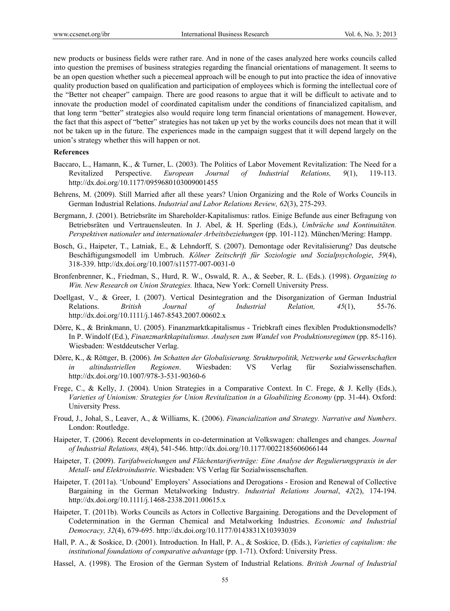new products or business fields were rather rare. And in none of the cases analyzed here works councils called into question the premises of business strategies regarding the financial orientations of management. It seems to be an open question whether such a piecemeal approach will be enough to put into practice the idea of innovative quality production based on qualification and participation of employees which is forming the intellectual core of the "Better not cheaper" campaign. There are good reasons to argue that it will be difficult to activate and to innovate the production model of coordinated capitalism under the conditions of financialized capitalism, and that long term "better" strategies also would require long term financial orientations of management. However, the fact that this aspect of "better" strategies has not taken up yet by the works councils does not mean that it will not be taken up in the future. The experiences made in the campaign suggest that it will depend largely on the union's strategy whether this will happen or not.

#### **References**

- Baccaro, L., Hamann, K., & Turner, L. (2003). The Politics of Labor Movement Revitalization: The Need for a Revitalized Perspective. *European Journal of Industrial Relations, 9*(1), 119-113. http://dx.doi.org/10.1177/0959680103009001455
- Behrens, M. (2009). Still Married after all these years? Union Organizing and the Role of Works Councils in German Industrial Relations. *Industrial and Labor Relations Review, 62*(3), 275-293.
- Bergmann, J. (2001). Betriebsräte im Shareholder-Kapitalismus: ratlos. Einige Befunde aus einer Befragung von Betriebsräten und Vertrauensleuten. In J. Abel, & H. Sperling (Eds.), *Umbrüche und Kontinuitäten. Perspektiven nationaler und internationaler Arbeitsbeziehungen* (pp. 101-112). München/Mering: Hampp.
- Bosch, G., Haipeter, T., Latniak, E., & Lehndorff, S. (2007). Demontage oder Revitalisierung? Das deutsche Beschäftigungsmodell im Umbruch. *Kölner Zeitschrift für Soziologie und Sozialpsychologie*, *59*(4), 318-339. http://dx.doi.org/10.1007/s11577-007-0031-0
- Bronfenbrenner, K., Friedman, S., Hurd, R. W., Oswald, R. A., & Seeber, R. L. (Eds.). (1998). *Organizing to Win. New Research on Union Strategies.* Ithaca, New York: Cornell University Press.
- Doellgast, V., & Greer, I. (2007). Vertical Desintegration and the Disorganization of German Industrial Relations. *British Journal of Industrial Relation, 45*(1), 55-76. http://dx.doi.org/10.1111/j.1467-8543.2007.00602.x
- Dörre, K., & Brinkmann, U. (2005). Finanzmarktkapitalismus Triebkraft eines flexiblen Produktionsmodells? In P. Windolf (Ed.), *Finanzmarktkapitalismus. Analysen zum Wandel von Produktionsregimen* (pp. 85-116). Wiesbaden: Westddeutscher Verlag.
- Dörre, K., & Röttger, B. (2006). *Im Schatten der Globalisierung. Strukturpolitik, Netzwerke und Gewerkschaften in altindustriellen Regionen*. Wiesbaden: VS Verlag für Sozialwissenschaften. http://dx.doi.org/10.1007/978-3-531-90360-6
- Frege, C., & Kelly, J. (2004). Union Strategies in a Comparative Context. In C. Frege, & J. Kelly (Eds.), *Varieties of Unionism: Strategies for Union Revitalization in a Gloabilizing Economy* (pp. 31-44). Oxford: University Press.
- Froud, J., Johal, S., Leaver, A., & Williams, K. (2006). *Financialization and Strategy. Narrative and Numbers*. London: Routledge.
- Haipeter, T. (2006). Recent developments in co-determination at Volkswagen: challenges and changes. *Journal of Industrial Relations, 48*(4), 541-546. http://dx.doi.org/10.1177/0022185606066144
- Haipeter, T. (2009). *Tarifabweichungen und Flächentarifverträge: Eine Analyse der Regulierungspraxis in der Metall- und Elektroindustrie*. Wiesbaden: VS Verlag für Sozialwissenschaften.
- Haipeter, T. (2011a). 'Unbound' Employers' Associations and Derogations Erosion and Renewal of Collective Bargaining in the German Metalworking Industry. *Industrial Relations Journal*, *42*(2), 174-194. http://dx.doi.org/10.1111/j.1468-2338.2011.00615.x
- Haipeter, T. (2011b). Works Councils as Actors in Collective Bargaining. Derogations and the Development of Codetermination in the German Chemical and Metalworking Industries. *Economic and Industrial Democracy, 32*(4), 679-695. http://dx.doi.org/10.1177/0143831X10393039
- Hall, P. A., & Soskice, D. (2001). Introduction. In Hall, P. A., & Soskice, D. (Eds.), *Varieties of capitalism: the institutional foundations of comparative advantage* (pp. 1-71). Oxford: University Press.
- Hassel, A. (1998). The Erosion of the German System of Industrial Relations. *British Journal of Industrial*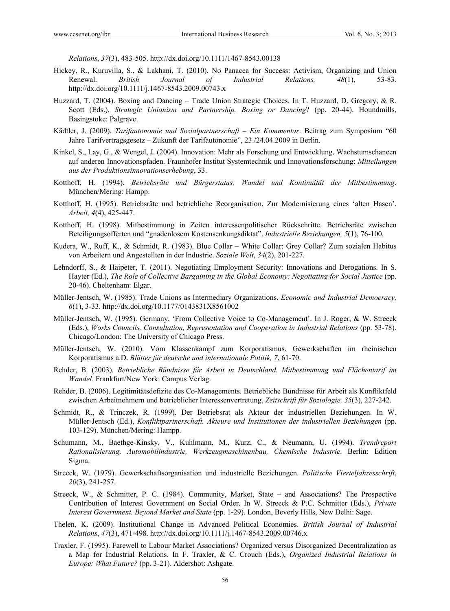*Relations*, *37*(3), 483-505. http://dx.doi.org/10.1111/1467-8543.00138

- Hickey, R., Kuruvilla, S., & Lakhani, T. (2010). No Panacea for Success: Activism, Organizing and Union Renewal. *British Journal of Industrial Relations, 48*(1), 53-83. http://dx.doi.org/10.1111/j.1467-8543.2009.00743.x
- Huzzard, T. (2004). Boxing and Dancing Trade Union Strategic Choices. In T. Huzzard, D. Gregory, & R. Scott (Eds.), *Strategic Unionism and Partnership. Boxing or Dancing*? (pp. 20-44). Houndmills, Basingstoke: Palgrave.
- Kädtler, J. (2009). *Tarifautonomie und Sozialpartnerschaft Ein Kommentar*. Beitrag zum Symposium "60 Jahre Tarifvertragsgesetz – Zukunft der Tarifautonomie", 23./24.04.2009 in Berlin.
- Kinkel, S., Lay, G., & Wengel, J. (2004). Innovation: Mehr als Forschung und Entwicklung. Wachstumschancen auf anderen Innovationspfaden. Fraunhofer Institut Systemtechnik und Innovationsforschung: *Mitteilungen aus der Produktionsinnovationserhebung*, 33.
- Kotthoff, H. (1994). *Betriebsräte und Bürgerstatus. Wandel und Kontinuität der Mitbestimmung*. München/Mering: Hampp.
- Kotthoff, H. (1995). Betriebsräte und betriebliche Reorganisation. Zur Modernisierung eines 'alten Hasen'. *Arbeit, 4*(4), 425-447.
- Kotthoff, H. (1998). Mitbestimmung in Zeiten interessenpolitischer Rückschritte. Betriebsräte zwischen Beteiligungsofferten und "gnadenlosem Kostensenkungsdiktat". *Industrielle Beziehungen, 5*(1), 76-100.
- Kudera, W., Ruff, K., & Schmidt, R. (1983). Blue Collar White Collar: Grey Collar? Zum sozialen Habitus von Arbeitern und Angestellten in der Industrie. *Soziale Welt*, *34*(2), 201-227.
- Lehndorff, S., & Haipeter, T. (2011). Negotiating Employment Security: Innovations and Derogations. In S. Hayter (Ed.), *The Role of Collective Bargaining in the Global Economy: Negotiating for Social Justice* (pp. 20-46). Cheltenham: Elgar.
- Müller-Jentsch, W. (1985). Trade Unions as Intermediary Organizations. *Economic and Industrial Democracy, 6*(1), 3-33. http://dx.doi.org/10.1177/0143831X8561002
- Müller-Jentsch, W. (1995). Germany, 'From Collective Voice to Co-Management'. In J. Roger, & W. Streeck (Eds.), *Works Councils. Consultation, Representation and Cooperation in Industrial Relations* (pp. 53-78). Chicago/London: The University of Chicago Press.
- Müller-Jentsch, W. (2010). Vom Klassenkampf zum Korporatismus. Gewerkschaften im rheinischen Korporatismus a.D. *Blätter für deutsche und internationale Politik, 7*, 61-70.
- Rehder, B. (2003). *Betriebliche Bündnisse für Arbeit in Deutschland. Mitbestimmung und Flächentarif im Wandel*. Frankfurt/New York: Campus Verlag.
- Rehder, B. (2006). Legitimitätsdefizite des Co-Managements. Betriebliche Bündnisse für Arbeit als Konfliktfeld zwischen Arbeitnehmern und betrieblicher Interessenvertretung. *Zeitschrift für Soziologie, 35*(3), 227-242.
- Schmidt, R., & Trinczek, R. (1999). Der Betriebsrat als Akteur der industriellen Beziehungen. In W. Müller-Jentsch (Ed.), *Konfliktpartnerschaft. Akteure und Institutionen der industriellen Beziehungen* (pp. 103-129). München/Mering: Hampp.
- Schumann, M., Baethge-Kinsky, V., Kuhlmann, M., Kurz, C., & Neumann, U. (1994). *Trendreport Rationalisierung. Automobilindustrie, Werkzeugmaschinenbau, Chemische Industrie*. Berlin: Edition Sigma.
- Streeck, W. (1979). Gewerkschaftsorganisation und industrielle Beziehungen. *Politische Vierteljahresschrift*, *20*(3), 241-257.
- Streeck, W., & Schmitter, P. C. (1984). Community, Market, State and Associations? The Prospective Contribution of Interest Government on Social Order. In W. Streeck & P.C. Schmitter (Eds.), *Private Interest Government. Beyond Market and State* (pp. 1-29). London, Beverly Hills, New Delhi: Sage.
- Thelen, K. (2009). Institutional Change in Advanced Political Economies. *British Journal of Industrial Relations*, *47*(3), 471-498. http://dx.doi.org/10.1111/j.1467-8543.2009.00746.x
- Traxler, F. (1995). Farewell to Labour Market Associations? Organized versus Disorganized Decentralization as a Map for Industrial Relations. In F. Traxler, & C. Crouch (Eds.), *Organized Industrial Relations in Europe: What Future?* (pp. 3-21). Aldershot: Ashgate.